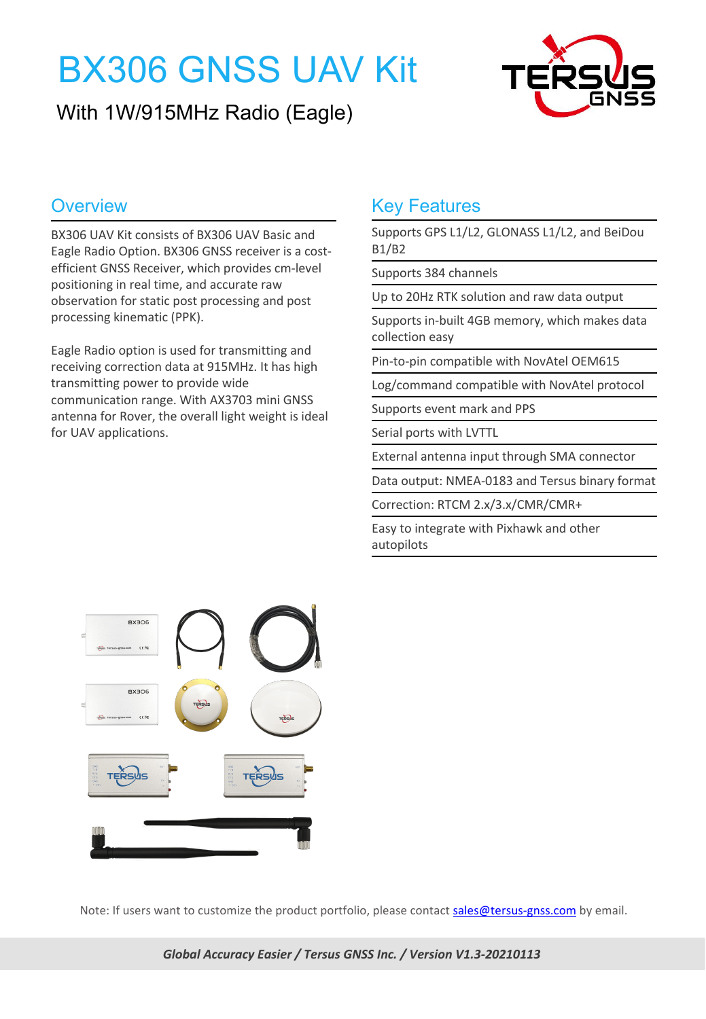# BX306 GNSS UAV Kit

### With 1W/915MHz Radio (Eagle)



BX306 UAV Kit consists of BX306 UAV Basic and Eagle Radio Option. BX306 GNSS receiver is a cost efficient GNSS Receiver, which provides cm-level positioning in real time, and accurate raw observation for static post processing and post processing kinematic (PPK).

Eagle Radio option is used for transmitting and receiving correction data at 915MHz. It has high transmitting power to provide wide communication range. With AX3703 mini GNSS antenna for Rover, the overall light weight is ideal for UAV applications.

### **Overview Coverse Coverse Coverse According Key Features**

Supports GPS L1/L2, GLONASS L1/L2, and BeiDou B1/B2

Supports 384 channels

Up to 20Hz RTK solution and raw data output

Supports in-built 4GB memory, which makes data collection easy

Pin-to-pin compatible with NovAtel OEM615

Log/command compatible with NovAtel protocol

Supports event mark and PPS

Serial ports with LVTTL

External antenna input through SMA connector

Data output: NMEA-0183 and Tersus binary format

Correction: RTCM 2.x/3.x/CMR/CMR+

Easy to integrate with Pixhawk and other autopilots



Note: If users want to customize the product portfolio, please contact sales@tersus-gnss.com by email.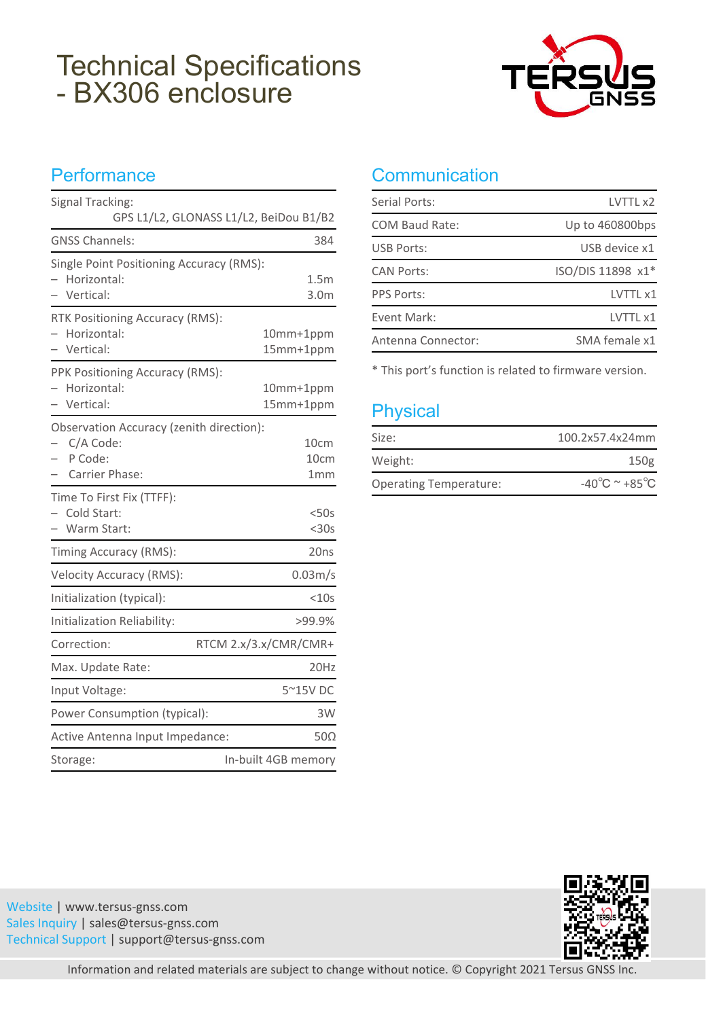# Technical Specifications TEPSU - BX306 enclosure



### **Performance**

| Signal Tracking:                                              |                          | Serial Ports:                                             |
|---------------------------------------------------------------|--------------------------|-----------------------------------------------------------|
| GPS L1/L2, GLONASS L1/L2, BeiDou B1/B2                        |                          | <b>COM Baud Rate:</b>                                     |
| <b>GNSS Channels:</b>                                         | 384                      | <b>USB Ports:</b>                                         |
| Single Point Positioning Accuracy (RMS):<br>- Horizontal:     | 1.5m                     | <b>CAN Ports:</b>                                         |
| - Vertical:                                                   | 3.0 <sub>m</sub>         | <b>PPS Ports:</b>                                         |
| RTK Positioning Accuracy (RMS):                               |                          | Event Mark:                                               |
| Horizontal:<br>- Vertical:                                    | 10mm+1ppm<br>15mm+1ppm   | Antenna Connector:                                        |
| PPK Positioning Accuracy (RMS):<br>Horizontal:<br>- Vertical: | 10mm+1ppm<br>15mm+1ppm   | * This port's function is related to t<br><b>Physical</b> |
| Observation Accuracy (zenith direction):                      |                          |                                                           |
| C/A Code:<br>P Code:                                          | 10 <sub>cm</sub><br>10cm | Size:                                                     |
| Carrier Phase:                                                | 1 <sub>mm</sub>          | Weight:                                                   |
| Time To First Fix (TTFF):<br>Cold Start:<br>- Warm Start:     | $<$ 50s<br>$<$ 30s       | <b>Operating Temperature:</b>                             |
| Timing Accuracy (RMS):                                        | 20ns                     |                                                           |
| <b>Velocity Accuracy (RMS):</b>                               | 0.03 <sub>m</sub> /s     |                                                           |
| Initialization (typical):                                     | $<$ 10s                  |                                                           |
| Initialization Reliability:                                   | >99.9%                   |                                                           |
| Correction:                                                   | RTCM 2.x/3.x/CMR/CMR+    |                                                           |
| Max. Update Rate:                                             | 20Hz                     |                                                           |
| Input Voltage:                                                | 5~15V DC                 |                                                           |
| Power Consumption (typical):                                  | 3W                       |                                                           |
| Active Antenna Input Impedance:                               | $50\Omega$               |                                                           |
| Storage:                                                      | In-built 4GB memory      |                                                           |

### **Communication**

| Serial Ports:         | LVTTL x2          |
|-----------------------|-------------------|
| <b>COM Baud Rate:</b> | Up to 460800bps   |
| <b>USB Ports:</b>     | USB device x1     |
| <b>CAN Ports:</b>     | ISO/DIS 11898 x1* |
| <b>PPS Ports:</b>     | LVTTL x1          |
| Event Mark:           | LVTTL x1          |
| Antenna Connector:    | SMA female x1     |

\* This port's function is related to firmware version.

| Size:                         | 100.2x57.4x24mm                             |
|-------------------------------|---------------------------------------------|
| Weight:                       | 150 <sub>g</sub>                            |
| <b>Operating Temperature:</b> | -40 $^{\circ}$ C $^{\sim}$ +85 $^{\circ}$ C |

Website |www.tersus-gnss.com Sales Inquiry | sales@tersus-gnss.com Technical Support | support@tersus-gnss.com



Information and related materials are subject to change without notice. © Copyright 2021 Tersus GNSS Inc.